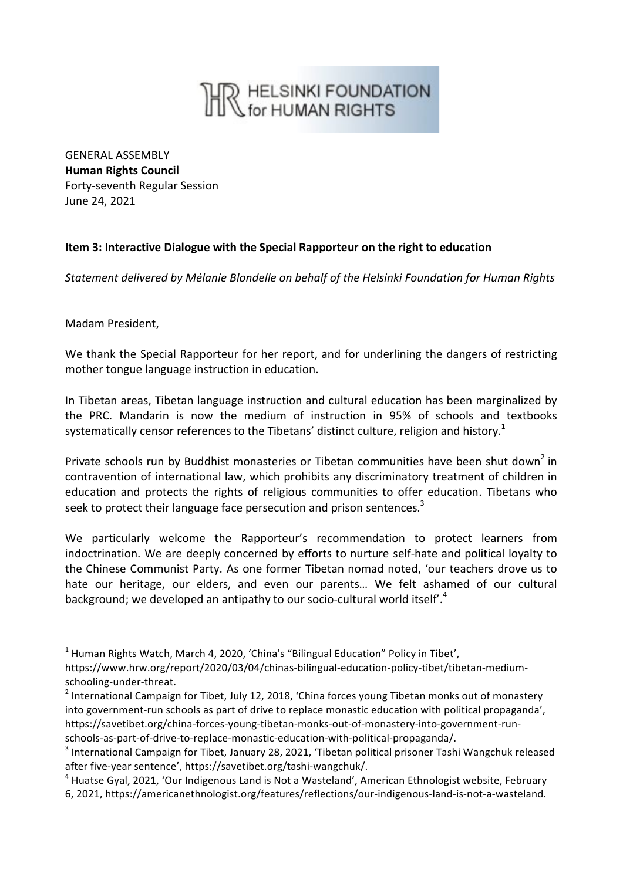## **R** HELSINKI FOUNDATION

GENERAL ASSEMBLY **Human Rights Council** Forty-seventh Regular Session June 24, 2021

## **Item 3: Interactive Dialogue with the Special Rapporteur on the right to education**

*Statement delivered by Mélanie Blondelle on behalf of the Helsinki Foundation for Human Rights*

Madam President,

1

We thank the Special Rapporteur for her report, and for underlining the dangers of restricting mother tongue language instruction in education.

In Tibetan areas, Tibetan language instruction and cultural education has been marginalized by the PRC. Mandarin is now the medium of instruction in 95% of schools and textbooks systematically censor references to the Tibetans' distinct culture, religion and history.<sup>1</sup>

Private schools run by Buddhist monasteries or Tibetan communities have been shut down<sup>2</sup> in contravention of international law, which prohibits any discriminatory treatment of children in education and protects the rights of religious communities to offer education. Tibetans who seek to protect their language face persecution and prison sentences.<sup>3</sup>

We particularly welcome the Rapporteur's recommendation to protect learners from indoctrination. We are deeply concerned by efforts to nurture self-hate and political loyalty to the Chinese Communist Party. As one former Tibetan nomad noted, 'our teachers drove us to hate our heritage, our elders, and even our parents… We felt ashamed of our cultural background; we developed an antipathy to our socio-cultural world itself<sup>'.4</sup>

<sup>&</sup>lt;sup>1</sup> Human Rights Watch, March 4, 2020, 'China's "Bilingual Education" Policy in Tibet',

https://www.hrw.org/report/2020/03/04/chinas-bilingual-education-policy-tibet/tibetan-mediumschooling-under-threat.

<sup>&</sup>lt;sup>2</sup> International Campaign for Tibet, July 12, 2018, 'China forces young Tibetan monks out of monastery into government-run schools as part of drive to replace monastic education with political propaganda', https://savetibet.org/china-forces-young-tibetan-monks-out-of-monastery-into-government-runschools-as-part-of-drive-to-replace-monastic-education-with-political-propaganda/. 

<sup>3</sup> International Campaign for Tibet, January 28, 2021, 'Tibetan political prisoner Tashi Wangchuk released after five-year sentence', https://savetibet.org/tashi-wangchuk/. 

<sup>4</sup> Huatse Gyal, 2021, 'Our Indigenous Land is Not a Wasteland', American Ethnologist website, February 6, 2021, https://americanethnologist.org/features/reflections/our-indigenous-land-is-not-a-wasteland.